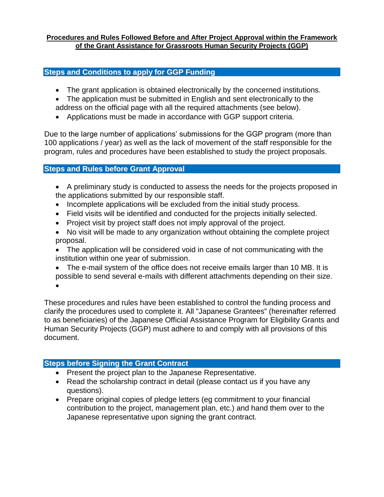#### **Procedures and Rules Followed Before and After Project Approval within the Framework of the Grant Assistance for Grassroots Human Security Projects (GGP)**

### **Steps and Conditions to apply for GGP Funding**

- The grant application is obtained electronically by the concerned institutions.
- The application must be submitted in English and sent electronically to the address on the official page with all the required attachments (see below).
- Applications must be made in accordance with GGP support criteria.

Due to the large number of applications' submissions for the GGP program (more than 100 applications / year) as well as the lack of movement of the staff responsible for the program, rules and procedures have been established to study the project proposals.

## **Steps and Rules before Grant Approval**

- A preliminary study is conducted to assess the needs for the projects proposed in the applications submitted by our responsible staff.
- Incomplete applications will be excluded from the initial study process.
- Field visits will be identified and conducted for the projects initially selected.
- Project visit by project staff does not imply approval of the project.
- No visit will be made to any organization without obtaining the complete project proposal.
- The application will be considered void in case of not communicating with the institution within one year of submission.
- The e-mail system of the office does not receive emails larger than 10 MB. It is possible to send several e-mails with different attachments depending on their size.  $\bullet$

These procedures and rules have been established to control the funding process and clarify the procedures used to complete it. All "Japanese Grantees" (hereinafter referred to as beneficiaries) of the Japanese Official Assistance Program for Eligibility Grants and Human Security Projects (GGP) must adhere to and comply with all provisions of this document.

# **Steps before Signing the Grant Contract**

- Present the project plan to the Japanese Representative.
- Read the scholarship contract in detail (please contact us if you have any questions).
- Prepare original copies of pledge letters (eg commitment to your financial contribution to the project, management plan, etc.) and hand them over to the Japanese representative upon signing the grant contract.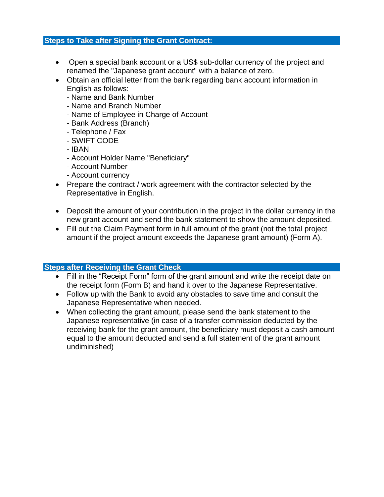#### **Steps to Take after Signing the Grant Contract:**

- Open a special bank account or a US\$ sub-dollar currency of the project and renamed the "Japanese grant account" with a balance of zero.
- Obtain an official letter from the bank regarding bank account information in English as follows:
	- Name and Bank Number
	- Name and Branch Number
	- Name of Employee in Charge of Account
	- Bank Address (Branch)
	- Telephone / Fax
	- SWIFT CODE
	- IBAN
	- Account Holder Name "Beneficiary"
	- Account Number
	- Account currency
- Prepare the contract / work agreement with the contractor selected by the Representative in English.
- Deposit the amount of your contribution in the project in the dollar currency in the new grant account and send the bank statement to show the amount deposited.
- Fill out the Claim Payment form in full amount of the grant (not the total project amount if the project amount exceeds the Japanese grant amount) (Form A).

### **Steps after Receiving the Grant Check**

- Fill in the "Receipt Form" form of the grant amount and write the receipt date on the receipt form (Form B) and hand it over to the Japanese Representative.
- Follow up with the Bank to avoid any obstacles to save time and consult the Japanese Representative when needed.
- When collecting the grant amount, please send the bank statement to the Japanese representative (in case of a transfer commission deducted by the receiving bank for the grant amount, the beneficiary must deposit a cash amount equal to the amount deducted and send a full statement of the grant amount undiminished)